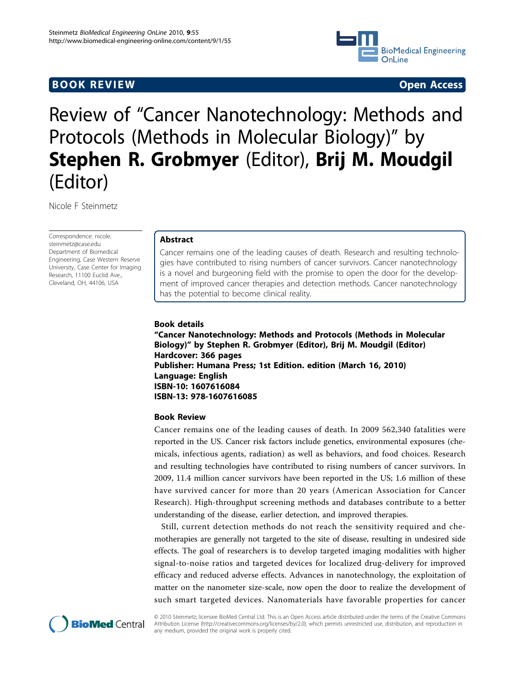## **BOOK REVIEW CONTROL** CONTROL CONTROL CONTROL CONTROL CONTROL CONTROL CONTROL CONTROL CONTROL CONTROL CONTROL CONTROL CONTROL CONTROL CONTROL CONTROL CONTROL CONTROL CONTROL CONTROL CONTROL CONTROL CONTROL CONTROL CONTROL



# Review of "Cancer Nanotechnology: Methods and Protocols (Methods in Molecular Biology)" by Stephen R. Grobmyer (Editor), Brij M. Moudgil (Editor)

Nicole F Steinmetz

Correspondence: [nicole.](mailto:nicole.steinmetz@case.edu) [steinmetz@case.edu](mailto:nicole.steinmetz@case.edu) Department of Biomedical Engineering, Case Western Reserve University, Case Center for Imaging Research, 11100 Euclid Ave., Cleveland, OH, 44106, USA

## Abstract

Cancer remains one of the leading causes of death. Research and resulting technologies have contributed to rising numbers of cancer survivors. Cancer nanotechnology is a novel and burgeoning field with the promise to open the door for the development of improved cancer therapies and detection methods. Cancer nanotechnology has the potential to become clinical reality.

## Book details

"Cancer Nanotechnology: Methods and Protocols (Methods in Molecular Biology)" by Stephen R. Grobmyer (Editor), Brij M. Moudgil (Editor) Hardcover: 366 pages Publisher: Humana Press; 1st Edition. edition (March 16, 2010) Language: English ISBN-10: 1607616084 ISBN-13: 978-1607616085

## Book Review

Cancer remains one of the leading causes of death. In 2009 562,340 fatalities were reported in the US. Cancer risk factors include genetics, environmental exposures (chemicals, infectious agents, radiation) as well as behaviors, and food choices. Research and resulting technologies have contributed to rising numbers of cancer survivors. In 2009, 11.4 million cancer survivors have been reported in the US; 1.6 million of these have survived cancer for more than 20 years (American Association for Cancer Research). High-throughput screening methods and databases contribute to a better understanding of the disease, earlier detection, and improved therapies.

Still, current detection methods do not reach the sensitivity required and chemotherapies are generally not targeted to the site of disease, resulting in undesired side effects. The goal of researchers is to develop targeted imaging modalities with higher signal-to-noise ratios and targeted devices for localized drug-delivery for improved efficacy and reduced adverse effects. Advances in nanotechnology, the exploitation of matter on the nanometer size-scale, now open the door to realize the development of such smart targeted devices. Nanomaterials have favorable properties for cancer



© 2010 Steinmetz; licensee BioMed Central Ltd. This is an Open Access article distributed under the terms of the Creative Commons Attribution License [\(http://creativecommons.org/licenses/by/2.0](http://creativecommons.org/licenses/by/2.0)), which permits unrestricted use, distribution, and reproduction in any medium, provided the original work is properly cited.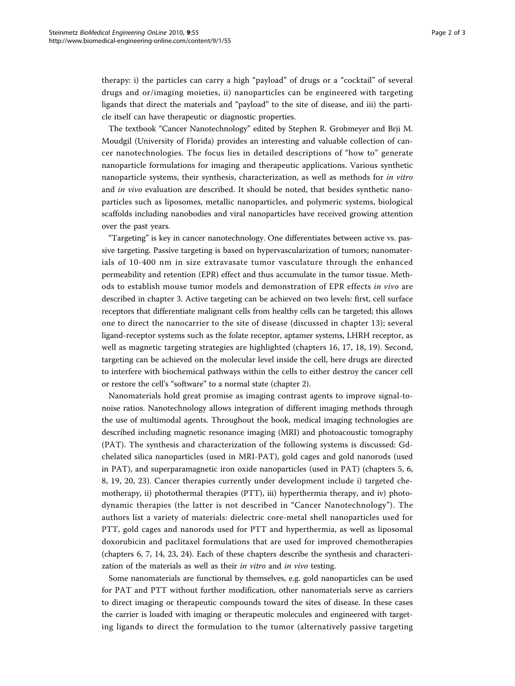therapy: i) the particles can carry a high "payload" of drugs or a "cocktail" of several drugs and or/imaging moieties, ii) nanoparticles can be engineered with targeting ligands that direct the materials and "payload" to the site of disease, and iii) the particle itself can have therapeutic or diagnostic properties.

The textbook "Cancer Nanotechnology" edited by Stephen R. Grobmeyer and Brji M. Moudgil (University of Florida) provides an interesting and valuable collection of cancer nanotechnologies. The focus lies in detailed descriptions of "how to" generate nanoparticle formulations for imaging and therapeutic applications. Various synthetic nanoparticle systems, their synthesis, characterization, as well as methods for in vitro and in vivo evaluation are described. It should be noted, that besides synthetic nanoparticles such as liposomes, metallic nanoparticles, and polymeric systems, biological scaffolds including nanobodies and viral nanoparticles have received growing attention over the past years.

"Targeting" is key in cancer nanotechnology. One differentiates between active vs. passive targeting. Passive targeting is based on hypervascularization of tumors; nanomaterials of 10-400 nm in size extravasate tumor vasculature through the enhanced permeability and retention (EPR) effect and thus accumulate in the tumor tissue. Methods to establish mouse tumor models and demonstration of EPR effects in vivo are described in chapter 3. Active targeting can be achieved on two levels: first, cell surface receptors that differentiate malignant cells from healthy cells can be targeted; this allows one to direct the nanocarrier to the site of disease (discussed in chapter 13); several ligand-receptor systems such as the folate receptor, aptamer systems, LHRH receptor, as well as magnetic targeting strategies are highlighted (chapters 16, 17, 18, 19). Second, targeting can be achieved on the molecular level inside the cell, here drugs are directed to interfere with biochemical pathways within the cells to either destroy the cancer cell or restore the cell's "software" to a normal state (chapter 2).

Nanomaterials hold great promise as imaging contrast agents to improve signal-tonoise ratios. Nanotechnology allows integration of different imaging methods through the use of multimodal agents. Throughout the book, medical imaging technologies are described including magnetic resonance imaging (MRI) and photoacoustic tomography (PAT). The synthesis and characterization of the following systems is discussed: Gdchelated silica nanoparticles (used in MRI-PAT), gold cages and gold nanorods (used in PAT), and superparamagnetic iron oxide nanoparticles (used in PAT) (chapters 5, 6, 8, 19, 20, 23). Cancer therapies currently under development include i) targeted chemotherapy, ii) photothermal therapies (PTT), iii) hyperthermia therapy, and iv) photodynamic therapies (the latter is not described in "Cancer Nanotechnology"). The authors list a variety of materials: dielectric core-metal shell nanoparticles used for PTT, gold cages and nanorods used for PTT and hyperthermia, as well as liposomal doxorubicin and paclitaxel formulations that are used for improved chemotherapies (chapters 6, 7, 14, 23, 24). Each of these chapters describe the synthesis and characterization of the materials as well as their in vitro and in vivo testing.

Some nanomaterials are functional by themselves, e.g. gold nanoparticles can be used for PAT and PTT without further modification, other nanomaterials serve as carriers to direct imaging or therapeutic compounds toward the sites of disease. In these cases the carrier is loaded with imaging or therapeutic molecules and engineered with targeting ligands to direct the formulation to the tumor (alternatively passive targeting